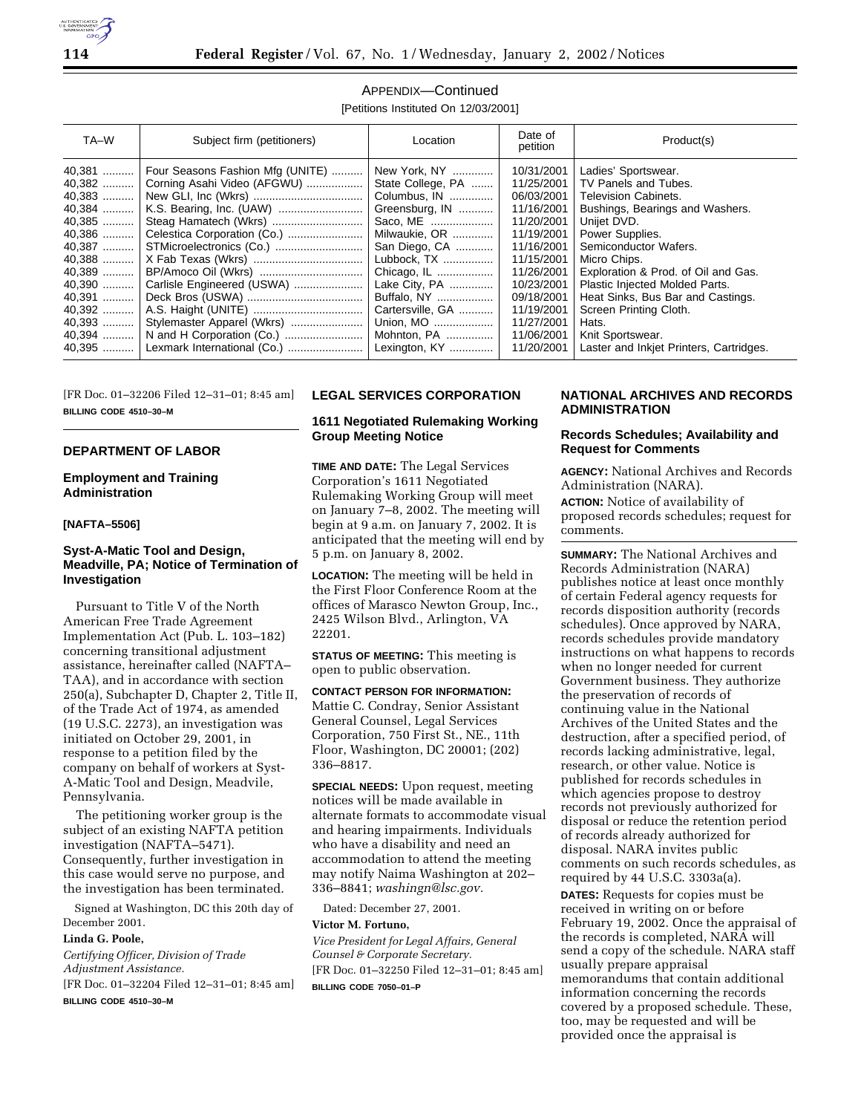

# APPENDIX—Continued

[Petitions Instituted On 12/03/2001]

| TA-W     | Subject firm (petitioners)       | Location          | Date of<br>petition | Product(s)                              |
|----------|----------------------------------|-------------------|---------------------|-----------------------------------------|
| 40,381   | Four Seasons Fashion Mfg (UNITE) | New York, NY      | 10/31/2001          | Ladies' Sportswear.                     |
| 40,382   | Corning Asahi Video (AFGWU)      | State College, PA | 11/25/2001          | TV Panels and Tubes.                    |
| $40,383$ |                                  | Columbus, IN      | 06/03/2001          | <b>Television Cabinets.</b>             |
| 40,384   |                                  | Greensburg, IN    | 11/16/2001          | Bushings, Bearings and Washers.         |
| 40,385   | Steag Hamatech (Wkrs)            | Saco, ME          | 11/20/2001          | Unijet DVD.                             |
| 40,386   |                                  | Milwaukie, OR     | 11/19/2001          | Power Supplies.                         |
| 40,387   |                                  | San Diego, CA     | 11/16/2001          | Semiconductor Wafers.                   |
| $40,388$ |                                  | Lubbock, TX       | 11/15/2001          | Micro Chips.                            |
| 40,389   | BP/Amoco Oil (Wkrs)              | Chicago, IL       | 11/26/2001          | Exploration & Prod. of Oil and Gas.     |
| 40,390   | Carlisle Engineered (USWA)       | Lake City, PA     | 10/23/2001          | Plastic Injected Molded Parts.          |
| 40.391   |                                  | Buffalo, NY       | 09/18/2001          | Heat Sinks, Bus Bar and Castings.       |
| 40,392   |                                  | Cartersville, GA  | 11/19/2001          | Screen Printing Cloth.                  |
| $40,393$ | Stylemaster Apparel (Wkrs)       | Union, MO         | 11/27/2001          | Hats.                                   |
| $40,394$ |                                  | Mohnton, PA       | 11/06/2001          | Knit Sportswear.                        |
| 40,395   | Lexmark International (Co.)      | Lexington, KY     | 11/20/2001          | Laster and Inkjet Printers, Cartridges. |

[FR Doc. 01–32206 Filed 12–31–01; 8:45 am] **BILLING CODE 4510–30–M**

## **DEPARTMENT OF LABOR**

## **Employment and Training Administration**

## **[NAFTA–5506]**

# **Syst-A-Matic Tool and Design, Meadville, PA; Notice of Termination of Investigation**

Pursuant to Title V of the North American Free Trade Agreement Implementation Act (Pub. L. 103–182) concerning transitional adjustment assistance, hereinafter called (NAFTA– TAA), and in accordance with section 250(a), Subchapter D, Chapter 2, Title II, of the Trade Act of 1974, as amended (19 U.S.C. 2273), an investigation was initiated on October 29, 2001, in response to a petition filed by the company on behalf of workers at Syst-A-Matic Tool and Design, Meadvile, Pennsylvania.

The petitioning worker group is the subject of an existing NAFTA petition investigation (NAFTA–5471). Consequently, further investigation in this case would serve no purpose, and the investigation has been terminated.

Signed at Washington, DC this 20th day of December 2001.

#### **Linda G. Poole,**

*Certifying Officer, Division of Trade Adjustment Assistance.* [FR Doc. 01–32204 Filed 12–31–01; 8:45 am] **BILLING CODE 4510–30–M**

# **LEGAL SERVICES CORPORATION**

### **1611 Negotiated Rulemaking Working Group Meeting Notice**

**TIME AND DATE:** The Legal Services Corporation's 1611 Negotiated Rulemaking Working Group will meet on January 7–8, 2002. The meeting will begin at 9 a.m. on January 7, 2002. It is anticipated that the meeting will end by 5 p.m. on January 8, 2002.

**LOCATION:** The meeting will be held in the First Floor Conference Room at the offices of Marasco Newton Group, Inc., 2425 Wilson Blvd., Arlington, VA 22201.

**STATUS OF MEETING:** This meeting is open to public observation.

## **CONTACT PERSON FOR INFORMATION:**

Mattie C. Condray, Senior Assistant General Counsel, Legal Services Corporation, 750 First St., NE., 11th Floor, Washington, DC 20001; (202) 336–8817.

**SPECIAL NEEDS:** Upon request, meeting notices will be made available in alternate formats to accommodate visual and hearing impairments. Individuals who have a disability and need an accommodation to attend the meeting may notify Naima Washington at 202– 336–8841; *washingn@lsc.gov.*

Dated: December 27, 2001.

#### **Victor M. Fortuno,**

*Vice President for Legal Affairs, General Counsel & Corporate Secretary.* [FR Doc. 01–32250 Filed 12–31–01; 8:45 am] **BILLING CODE 7050–01–P**

# **NATIONAL ARCHIVES AND RECORDS ADMINISTRATION**

## **Records Schedules; Availability and Request for Comments**

**AGENCY:** National Archives and Records Administration (NARA).

**ACTION:** Notice of availability of proposed records schedules; request for comments.

**SUMMARY:** The National Archives and Records Administration (NARA) publishes notice at least once monthly of certain Federal agency requests for records disposition authority (records schedules). Once approved by NARA, records schedules provide mandatory instructions on what happens to records when no longer needed for current Government business. They authorize the preservation of records of continuing value in the National Archives of the United States and the destruction, after a specified period, of records lacking administrative, legal, research, or other value. Notice is published for records schedules in which agencies propose to destroy records not previously authorized for disposal or reduce the retention period of records already authorized for disposal. NARA invites public comments on such records schedules, as required by 44 U.S.C. 3303a(a).

**DATES:** Requests for copies must be received in writing on or before February 19, 2002. Once the appraisal of the records is completed, NARA will send a copy of the schedule. NARA staff usually prepare appraisal memorandums that contain additional information concerning the records covered by a proposed schedule. These, too, may be requested and will be provided once the appraisal is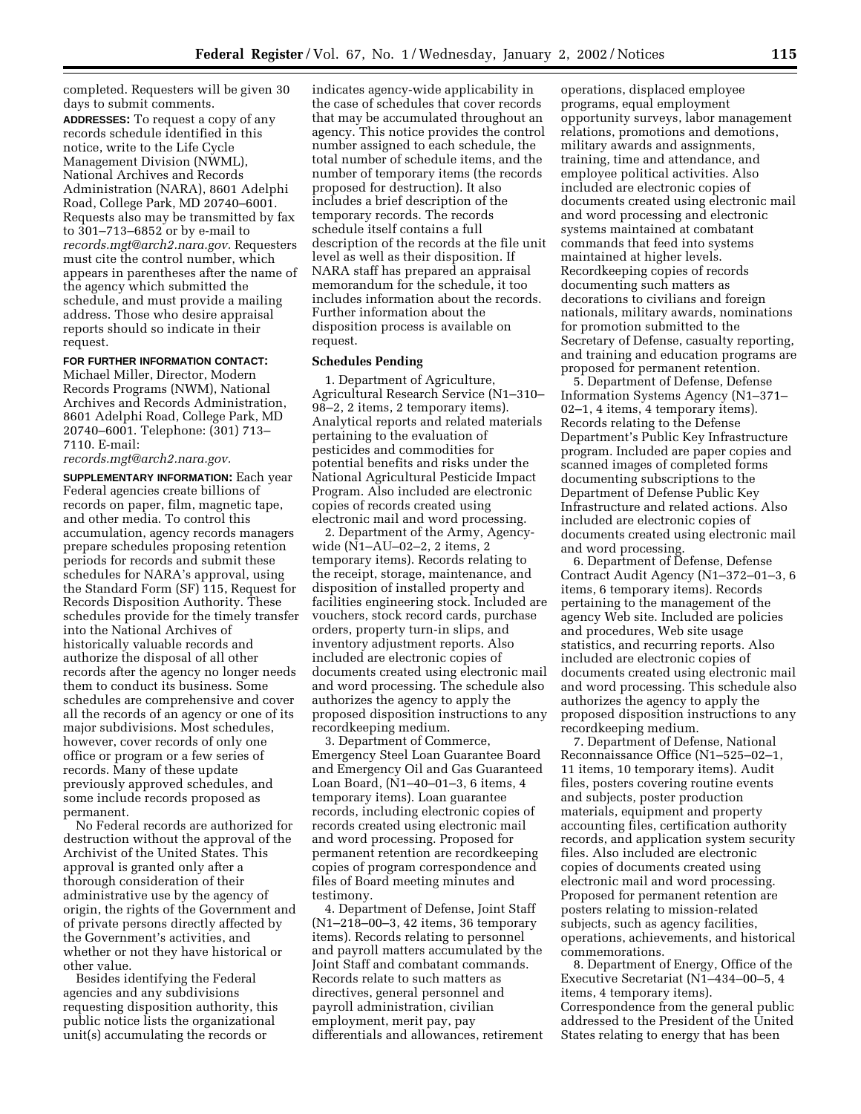completed. Requesters will be given 30 days to submit comments.

**ADDRESSES:** To request a copy of any records schedule identified in this notice, write to the Life Cycle Management Division (NWML), National Archives and Records Administration (NARA), 8601 Adelphi Road, College Park, MD 20740–6001. Requests also may be transmitted by fax to 301–713–6852 or by e-mail to *records.mgt@arch2.nara.gov.* Requesters must cite the control number, which appears in parentheses after the name of the agency which submitted the schedule, and must provide a mailing address. Those who desire appraisal reports should so indicate in their request.

#### **FOR FURTHER INFORMATION CONTACT:**

Michael Miller, Director, Modern Records Programs (NWM), National Archives and Records Administration, 8601 Adelphi Road, College Park, MD 20740–6001. Telephone: (301) 713– 7110. E-mail:

*records.mgt@arch2.nara.gov.*

**SUPPLEMENTARY INFORMATION:** Each year Federal agencies create billions of records on paper, film, magnetic tape, and other media. To control this accumulation, agency records managers prepare schedules proposing retention periods for records and submit these schedules for NARA's approval, using the Standard Form (SF) 115, Request for Records Disposition Authority. These schedules provide for the timely transfer into the National Archives of historically valuable records and authorize the disposal of all other records after the agency no longer needs them to conduct its business. Some schedules are comprehensive and cover all the records of an agency or one of its major subdivisions. Most schedules, however, cover records of only one office or program or a few series of records. Many of these update previously approved schedules, and some include records proposed as permanent.

No Federal records are authorized for destruction without the approval of the Archivist of the United States. This approval is granted only after a thorough consideration of their administrative use by the agency of origin, the rights of the Government and of private persons directly affected by the Government's activities, and whether or not they have historical or other value.

Besides identifying the Federal agencies and any subdivisions requesting disposition authority, this public notice lists the organizational unit(s) accumulating the records or

indicates agency-wide applicability in the case of schedules that cover records that may be accumulated throughout an agency. This notice provides the control number assigned to each schedule, the total number of schedule items, and the number of temporary items (the records proposed for destruction). It also includes a brief description of the temporary records. The records schedule itself contains a full description of the records at the file unit level as well as their disposition. If NARA staff has prepared an appraisal memorandum for the schedule, it too includes information about the records. Further information about the disposition process is available on request.

#### **Schedules Pending**

1. Department of Agriculture, Agricultural Research Service (N1–310– 98–2, 2 items, 2 temporary items). Analytical reports and related materials pertaining to the evaluation of pesticides and commodities for potential benefits and risks under the National Agricultural Pesticide Impact Program. Also included are electronic copies of records created using electronic mail and word processing.

2. Department of the Army, Agencywide (N1–AU–02–2, 2 items, 2 temporary items). Records relating to the receipt, storage, maintenance, and disposition of installed property and facilities engineering stock. Included are vouchers, stock record cards, purchase orders, property turn-in slips, and inventory adjustment reports. Also included are electronic copies of documents created using electronic mail and word processing. The schedule also authorizes the agency to apply the proposed disposition instructions to any recordkeeping medium.

3. Department of Commerce, Emergency Steel Loan Guarantee Board and Emergency Oil and Gas Guaranteed Loan Board, (N1–40–01–3, 6 items, 4 temporary items). Loan guarantee records, including electronic copies of records created using electronic mail and word processing. Proposed for permanent retention are recordkeeping copies of program correspondence and files of Board meeting minutes and testimony.

4. Department of Defense, Joint Staff (N1–218–00–3, 42 items, 36 temporary items). Records relating to personnel and payroll matters accumulated by the Joint Staff and combatant commands. Records relate to such matters as directives, general personnel and payroll administration, civilian employment, merit pay, pay differentials and allowances, retirement

operations, displaced employee programs, equal employment opportunity surveys, labor management relations, promotions and demotions, military awards and assignments, training, time and attendance, and employee political activities. Also included are electronic copies of documents created using electronic mail and word processing and electronic systems maintained at combatant commands that feed into systems maintained at higher levels. Recordkeeping copies of records documenting such matters as decorations to civilians and foreign nationals, military awards, nominations for promotion submitted to the Secretary of Defense, casualty reporting, and training and education programs are proposed for permanent retention.

5. Department of Defense, Defense Information Systems Agency (N1–371– 02–1, 4 items, 4 temporary items). Records relating to the Defense Department's Public Key Infrastructure program. Included are paper copies and scanned images of completed forms documenting subscriptions to the Department of Defense Public Key Infrastructure and related actions. Also included are electronic copies of documents created using electronic mail and word processing.

6. Department of Defense, Defense Contract Audit Agency (N1–372–01–3, 6 items, 6 temporary items). Records pertaining to the management of the agency Web site. Included are policies and procedures, Web site usage statistics, and recurring reports. Also included are electronic copies of documents created using electronic mail and word processing. This schedule also authorizes the agency to apply the proposed disposition instructions to any recordkeeping medium.

7. Department of Defense, National Reconnaissance Office (N1–525–02–1, 11 items, 10 temporary items). Audit files, posters covering routine events and subjects, poster production materials, equipment and property accounting files, certification authority records, and application system security files. Also included are electronic copies of documents created using electronic mail and word processing. Proposed for permanent retention are posters relating to mission-related subjects, such as agency facilities, operations, achievements, and historical commemorations.

8. Department of Energy, Office of the Executive Secretariat (N1–434–00–5, 4 items, 4 temporary items). Correspondence from the general public addressed to the President of the United States relating to energy that has been